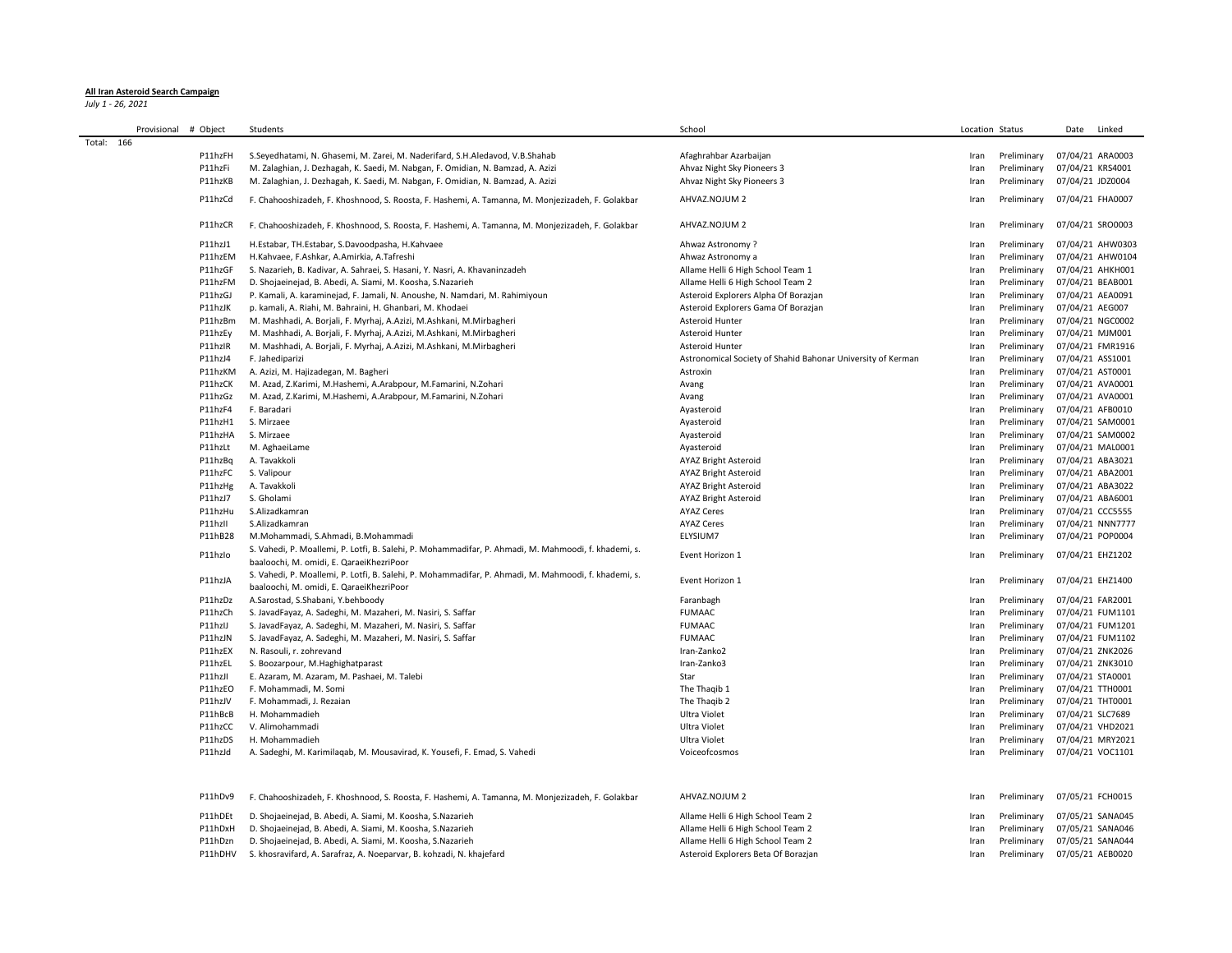## **All Iran Asteroid Search Campaign**

*July 1 - 26, 2021*

|            | Provisional | # Object | Students                                                                                                                                         | School                                                      | Location Status |             | Date<br>Linked   |
|------------|-------------|----------|--------------------------------------------------------------------------------------------------------------------------------------------------|-------------------------------------------------------------|-----------------|-------------|------------------|
| Total: 166 |             |          |                                                                                                                                                  |                                                             |                 |             |                  |
|            |             | P11hzFH  | S. Seyedhatami, N. Ghasemi, M. Zarei, M. Naderifard, S. H. Aledavod, V. B. Shahab                                                                | Afaghrahbar Azarbaijan                                      | Iran            | Preliminary | 07/04/21 ARA0003 |
|            |             | P11hzFi  | M. Zalaghian, J. Dezhagah, K. Saedi, M. Nabgan, F. Omidian, N. Bamzad, A. Azizi                                                                  | Ahvaz Night Sky Pioneers 3                                  | Iran            | Preliminary | 07/04/21 KRS4001 |
|            |             | P11hzKB  | M. Zalaghian, J. Dezhagah, K. Saedi, M. Nabgan, F. Omidian, N. Bamzad, A. Azizi                                                                  | Ahvaz Night Sky Pioneers 3                                  | Iran            | Preliminary | 07/04/21 JDZ0004 |
|            |             | P11hzCd  | F. Chahooshizadeh, F. Khoshnood, S. Roosta, F. Hashemi, A. Tamanna, M. Monjezizadeh, F. Golakbar                                                 | AHVAZ.NOJUM 2                                               | Iran            | Preliminary | 07/04/21 FHA0007 |
|            |             | P11hzCR  | F. Chahooshizadeh, F. Khoshnood, S. Roosta, F. Hashemi, A. Tamanna, M. Monjezizadeh, F. Golakbar                                                 | AHVAZ.NOJUM 2                                               | Iran            | Preliminary | 07/04/21 SRO0003 |
|            |             | P11hzJ1  | H.Estabar, TH.Estabar, S.Davoodpasha, H.Kahvaee                                                                                                  | Ahwaz Astronomy?                                            | Iran            | Preliminary | 07/04/21 AHW0303 |
|            |             | P11hzEM  | H.Kahvaee, F.Ashkar, A.Amirkia, A.Tafreshi                                                                                                       | Ahwaz Astronomy a                                           | Iran            | Preliminary | 07/04/21 AHW0104 |
|            |             | P11hzGF  | S. Nazarieh, B. Kadivar, A. Sahraei, S. Hasani, Y. Nasri, A. Khavaninzadeh                                                                       | Allame Helli 6 High School Team 1                           | Iran            | Preliminary | 07/04/21 AHKH001 |
|            |             | P11hzFM  | D. Shojaeinejad, B. Abedi, A. Siami, M. Koosha, S.Nazarieh                                                                                       | Allame Helli 6 High School Team 2                           | Iran            | Preliminary | 07/04/21 BEAB001 |
|            |             | P11hzGJ  | P. Kamali, A. karaminejad, F. Jamali, N. Anoushe, N. Namdari, M. Rahimiyoun                                                                      | Asteroid Explorers Alpha Of Borazjan                        | Iran            | Preliminary | 07/04/21 AEA0091 |
|            |             | P11hzJK  | p. kamali, A. Riahi, M. Bahraini, H. Ghanbari, M. Khodaei                                                                                        | Asteroid Explorers Gama Of Borazjan                         | Iran            | Preliminary | 07/04/21 AEG007  |
|            |             | P11hzBm  | M. Mashhadi, A. Borjali, F. Myrhaj, A.Azizi, M.Ashkani, M.Mirbagheri                                                                             | Asteroid Hunter                                             | Iran            | Preliminary | 07/04/21 NGC0002 |
|            |             | P11hzEy  | M. Mashhadi, A. Borjali, F. Myrhaj, A.Azizi, M.Ashkani, M.Mirbagheri                                                                             | Asteroid Hunter                                             | Iran            | Preliminary | 07/04/21 MJM001  |
|            |             | P11hzIR  | M. Mashhadi, A. Borjali, F. Myrhaj, A.Azizi, M.Ashkani, M.Mirbagheri                                                                             | Asteroid Hunter                                             | Iran            | Preliminary | 07/04/21 FMR1916 |
|            |             | P11hzJ4  | F. Jahediparizi                                                                                                                                  | Astronomical Society of Shahid Bahonar University of Kerman | Iran            | Preliminary | 07/04/21 ASS1001 |
|            |             | P11hzKM  | A. Azizi, M. Hajizadegan, M. Bagheri                                                                                                             | Astroxin                                                    | Iran            | Preliminary | 07/04/21 AST0001 |
|            |             | P11hzCK  | M. Azad, Z.Karimi, M.Hashemi, A.Arabpour, M.Famarini, N.Zohari                                                                                   | Avang                                                       | Iran            | Preliminary | 07/04/21 AVA0001 |
|            |             | P11hzGz  | M. Azad, Z.Karimi, M.Hashemi, A.Arabpour, M.Famarini, N.Zohari                                                                                   | Avang                                                       | Iran            | Preliminary | 07/04/21 AVA0001 |
|            |             | P11hzF4  | F. Baradari                                                                                                                                      | Ayasteroid                                                  | Iran            | Preliminary | 07/04/21 AFB0010 |
|            |             | P11hzH1  | S. Mirzaee                                                                                                                                       | Ayasteroid                                                  | Iran            | Preliminary | 07/04/21 SAM0001 |
|            |             | P11hzHA  | S. Mirzaee                                                                                                                                       | Ayasteroid                                                  | Iran            | Preliminary | 07/04/21 SAM0002 |
|            |             | P11hzLt  | M. AghaeiLame                                                                                                                                    | Ayasteroid                                                  | Iran            | Preliminary | 07/04/21 MAL0001 |
|            |             | P11hzBq  | A. Tavakkoli                                                                                                                                     | <b>AYAZ Bright Asteroid</b>                                 | Iran            | Preliminary | 07/04/21 ABA3021 |
|            |             | P11hzFC  | S. Valipour                                                                                                                                      | <b>AYAZ Bright Asteroid</b>                                 | Iran            | Preliminary | 07/04/21 ABA2001 |
|            |             | P11hzHg  | A. Tavakkoli                                                                                                                                     | <b>AYAZ Bright Asteroid</b>                                 | Iran            | Preliminary | 07/04/21 ABA3022 |
|            |             | P11hzJ7  | S. Gholami                                                                                                                                       | <b>AYAZ Bright Asteroid</b>                                 | Iran            | Preliminary | 07/04/21 ABA6001 |
|            |             | P11hzHu  | S.Alizadkamran                                                                                                                                   | <b>AYAZ Ceres</b>                                           | Iran            | Preliminary | 07/04/21 CCC5555 |
|            |             | P11hzII  | S.Alizadkamran                                                                                                                                   | <b>AYAZ Ceres</b>                                           | Iran            | Preliminary | 07/04/21 NNN7777 |
|            |             | P11hB28  | M.Mohammadi, S.Ahmadi, B.Mohammadi                                                                                                               | ELYSIUM7                                                    | Iran            | Preliminary | 07/04/21 POP0004 |
|            |             |          | S. Vahedi, P. Moallemi, P. Lotfi, B. Salehi, P. Mohammadifar, P. Ahmadi, M. Mahmoodi, f. khademi, s.                                             |                                                             |                 |             |                  |
|            |             | P11hzlo  | baaloochi, M. omidi, E. QaraeiKhezriPoor                                                                                                         | Event Horizon 1                                             | Iran            | Preliminary | 07/04/21 EHZ1202 |
|            |             | P11hzJA  | S. Vahedi, P. Moallemi, P. Lotfi, B. Salehi, P. Mohammadifar, P. Ahmadi, M. Mahmoodi, f. khademi, s.<br>baaloochi, M. omidi, E. QaraeiKhezriPoor | Event Horizon 1                                             | Iran            | Preliminary | 07/04/21 EHZ1400 |
|            |             | P11hzDz  | A.Sarostad, S.Shabani, Y.behboody                                                                                                                | Faranbagh                                                   | Iran            | Preliminary | 07/04/21 FAR2001 |
|            |             | P11hzCh  | S. JavadFayaz, A. Sadeghi, M. Mazaheri, M. Nasiri, S. Saffar                                                                                     | <b>FUMAAC</b>                                               | Iran            | Preliminary | 07/04/21 FUM1101 |
|            |             | P11hzIJ  | S. JavadFayaz, A. Sadeghi, M. Mazaheri, M. Nasiri, S. Saffar                                                                                     | <b>FUMAAC</b>                                               | Iran            | Preliminary | 07/04/21 FUM1201 |
|            |             | P11hzJN  | S. JavadFayaz, A. Sadeghi, M. Mazaheri, M. Nasiri, S. Saffar                                                                                     | <b>FUMAAC</b>                                               | Iran            | Preliminary | 07/04/21 FUM1102 |
|            |             | P11hzEX  | N. Rasouli, r. zohrevand                                                                                                                         | Iran-Zanko2                                                 | Iran            | Preliminary | 07/04/21 ZNK2026 |
|            |             | P11hzEL  | S. Boozarpour, M. Haghighatparast                                                                                                                | Iran-Zanko3                                                 | Iran            | Preliminary | 07/04/21 ZNK3010 |
|            |             | P11hzJI  | E. Azaram, M. Azaram, M. Pashaei, M. Talebi                                                                                                      | Star                                                        | Iran            | Preliminary | 07/04/21 STA0001 |
|            |             | P11hzEO  | F. Mohammadi, M. Somi                                                                                                                            | The Thaqib 1                                                | Iran            | Preliminary | 07/04/21 TTH0001 |
|            |             | P11hzJV  | F. Mohammadi, J. Rezaian                                                                                                                         | The Thagib 2                                                | Iran            | Preliminary | 07/04/21 THT0001 |
|            |             | P11hBcB  | H. Mohammadieh                                                                                                                                   | Ultra Violet                                                | Iran            | Preliminary | 07/04/21 SLC7689 |
|            |             | P11hzCC  | V. Alimohammadi                                                                                                                                  | Ultra Violet                                                | Iran            | Preliminary | 07/04/21 VHD2021 |
|            |             | P11hzDS  | H. Mohammadieh                                                                                                                                   | Ultra Violet                                                | Iran            | Preliminary | 07/04/21 MRY2021 |
|            |             | P11hzJd  | A. Sadeghi, M. Karimilaqab, M. Mousavirad, K. Yousefi, F. Emad, S. Vahedi                                                                        | Voiceofcosmos                                               | Iran            | Preliminary | 07/04/21 VOC1101 |
|            |             | P11hDv9  | F. Chahooshizadeh, F. Khoshnood, S. Roosta, F. Hashemi, A. Tamanna, M. Monjezizadeh, F. Golakbar                                                 | AHVAZ.NOJUM 2                                               | Iran            | Preliminary | 07/05/21 FCH0015 |
|            |             | P11hDEt  | D. Shojaeinejad, B. Abedi, A. Siami, M. Koosha, S.Nazarieh                                                                                       | Allame Helli 6 High School Team 2                           | Iran            | Preliminary | 07/05/21 SANA045 |
|            |             | P11hDxH  | D. Shojaeinejad, B. Abedi, A. Siami, M. Koosha, S.Nazarieh                                                                                       | Allame Helli 6 High School Team 2                           | Iran            | Preliminary | 07/05/21 SANA046 |
|            |             | P11hDzn  | D. Shojaeinejad, B. Abedi, A. Siami, M. Koosha, S.Nazarieh                                                                                       | Allame Helli 6 High School Team 2                           | Iran            | Preliminary | 07/05/21 SANA044 |
|            |             | P11hDHV  | S. khosravifard, A. Sarafraz, A. Noeparvar, B. kohzadi, N. khajefard                                                                             | Asteroid Explorers Beta Of Borazjan                         | Iran            | Preliminary | 07/05/21 AEB0020 |

P11hDHV S. khosravifard, A. Sarafraz, A. Noeparvar, B. kohzadi, N. khajefard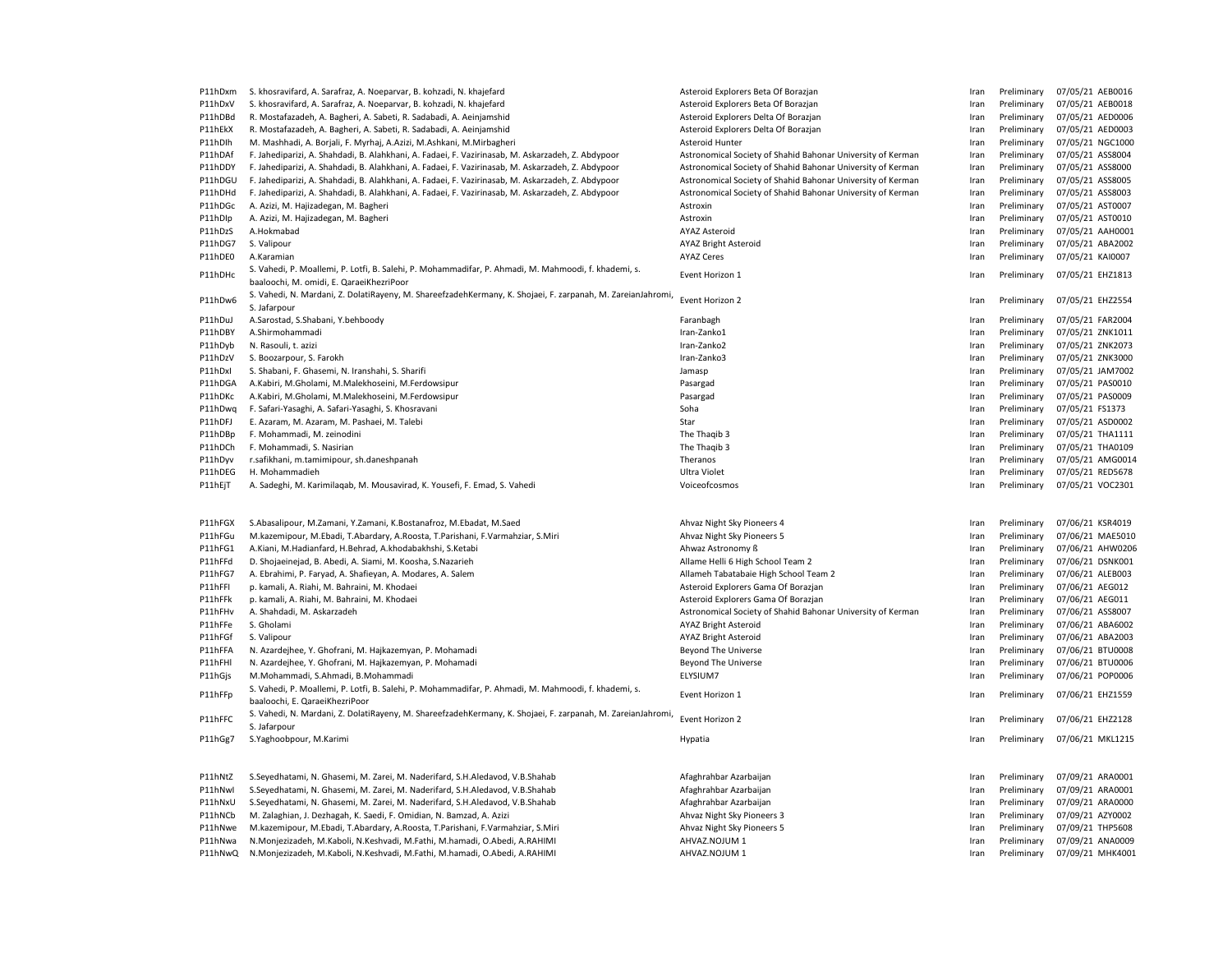| P11hDxm | S. khosravifard, A. Sarafraz, A. Noeparvar, B. kohzadi, N. khajefard                                                                                     | Asteroid Explorers Beta Of Borazjan                         | Iran | Preliminary | 07/05/21 AEB0016 |
|---------|----------------------------------------------------------------------------------------------------------------------------------------------------------|-------------------------------------------------------------|------|-------------|------------------|
| P11hDxV | S. khosravifard, A. Sarafraz, A. Noeparvar, B. kohzadi, N. khajefard                                                                                     | Asteroid Explorers Beta Of Borazjan                         | Iran | Preliminary | 07/05/21 AEB0018 |
| P11hDBd | R. Mostafazadeh, A. Bagheri, A. Sabeti, R. Sadabadi, A. Aeinjamshid                                                                                      | Asteroid Explorers Delta Of Borazjan                        | Iran | Preliminary | 07/05/21 AED0006 |
| P11hEkX | R. Mostafazadeh, A. Bagheri, A. Sabeti, R. Sadabadi, A. Aeinjamshid                                                                                      | Asteroid Explorers Delta Of Borazjan                        | Iran | Preliminary | 07/05/21 AED0003 |
| P11hDlh | M. Mashhadi, A. Borjali, F. Myrhaj, A.Azizi, M.Ashkani, M.Mirbagheri                                                                                     | Asteroid Hunter                                             | Iran | Preliminary | 07/05/21 NGC1000 |
| P11hDAf | F. Jahediparizi, A. Shahdadi, B. Alahkhani, A. Fadaei, F. Vazirinasab, M. Askarzadeh, Z. Abdypoor                                                        | Astronomical Society of Shahid Bahonar University of Kerman | Iran | Preliminary | 07/05/21 ASS8004 |
| P11hDDY | F. Jahediparizi, A. Shahdadi, B. Alahkhani, A. Fadaei, F. Vazirinasab, M. Askarzadeh, Z. Abdypoor                                                        | Astronomical Society of Shahid Bahonar University of Kerman | Iran | Preliminary | 07/05/21 ASS8000 |
| P11hDGU | F. Jahediparizi, A. Shahdadi, B. Alahkhani, A. Fadaei, F. Vazirinasab, M. Askarzadeh, Z. Abdypoor                                                        | Astronomical Society of Shahid Bahonar University of Kerman | Iran | Preliminary | 07/05/21 ASS8005 |
| P11hDHd | F. Jahediparizi, A. Shahdadi, B. Alahkhani, A. Fadaei, F. Vazirinasab, M. Askarzadeh, Z. Abdypoor                                                        | Astronomical Society of Shahid Bahonar University of Kerman | Iran | Preliminary | 07/05/21 ASS8003 |
| P11hDGc | A. Azizi, M. Hajizadegan, M. Bagheri                                                                                                                     | Astroxin                                                    | Iran | Preliminary | 07/05/21 AST0007 |
| P11hDlp | A. Azizi, M. Hajizadegan, M. Bagheri                                                                                                                     | Astroxin                                                    | Iran | Preliminary | 07/05/21 AST0010 |
| P11hDzS | A.Hokmabad                                                                                                                                               | <b>AYAZ Asteroid</b>                                        | Iran | Preliminary | 07/05/21 AAH0001 |
| P11hDG7 | S. Valipour                                                                                                                                              | <b>AYAZ Bright Asteroid</b>                                 | Iran | Preliminary | 07/05/21 ABA2002 |
| P11hDE0 | A.Karamian                                                                                                                                               | <b>AYAZ Ceres</b>                                           | Iran | Preliminary | 07/05/21 KAI0007 |
|         |                                                                                                                                                          |                                                             |      |             |                  |
| P11hDHc | S. Vahedi, P. Moallemi, P. Lotfi, B. Salehi, P. Mohammadifar, P. Ahmadi, M. Mahmoodi, f. khademi, s.<br>baaloochi, M. omidi, E. QaraeiKhezriPoor         | Event Horizon 1                                             | Iran | Preliminary | 07/05/21 EHZ1813 |
| P11hDw6 | S. Vahedi, N. Mardani, Z. DolatiRayeny, M. ShareefzadehKermany, K. Shojaei, F. zarpanah, M. ZareianJahromi,                                              | Event Horizon 2                                             | Iran | Preliminary | 07/05/21 EHZ2554 |
|         | S. Jafarpour                                                                                                                                             |                                                             |      |             |                  |
| P11hDuJ | A.Sarostad, S.Shabani, Y.behboody                                                                                                                        | Faranbagh                                                   | Iran | Preliminary | 07/05/21 FAR2004 |
| P11hDBY | A.Shirmohammadi                                                                                                                                          | Iran-Zanko1                                                 | Iran | Preliminary | 07/05/21 ZNK1011 |
| P11hDyb | N. Rasouli, t. azizi                                                                                                                                     | Iran-Zanko2                                                 | Iran | Preliminary | 07/05/21 ZNK2073 |
| P11hDzV | S. Boozarpour, S. Farokh                                                                                                                                 | Iran-Zanko3                                                 | Iran | Preliminary | 07/05/21 ZNK3000 |
| P11hDxl | S. Shabani, F. Ghasemi, N. Iranshahi, S. Sharifi                                                                                                         | Jamasp                                                      | Iran | Preliminary | 07/05/21 JAM7002 |
| P11hDGA | A.Kabiri, M.Gholami, M.Malekhoseini, M.Ferdowsipur                                                                                                       | Pasargad                                                    | Iran | Preliminary | 07/05/21 PAS0010 |
| P11hDKc | A.Kabiri, M.Gholami, M.Malekhoseini, M.Ferdowsipur                                                                                                       | Pasargad                                                    | Iran | Preliminary | 07/05/21 PAS0009 |
| P11hDwg | F. Safari-Yasaghi, A. Safari-Yasaghi, S. Khosravani                                                                                                      | Soha                                                        | Iran | Preliminary | 07/05/21 FS1373  |
| P11hDFJ | E. Azaram, M. Azaram, M. Pashaei, M. Talebi                                                                                                              | Star                                                        | Iran | Preliminary | 07/05/21 ASD0002 |
| P11hDBp | F. Mohammadi, M. zeinodini                                                                                                                               | The Thaqib 3                                                | Iran | Preliminary | 07/05/21 THA1111 |
| P11hDCh | F. Mohammadi, S. Nasirian                                                                                                                                | The Thaqib 3                                                | Iran | Preliminary | 07/05/21 THA0109 |
| P11hDyv | r.safikhani, m.tamimipour, sh.daneshpanah                                                                                                                | Theranos                                                    | Iran | Preliminary | 07/05/21 AMG0014 |
| P11hDEG | H. Mohammadieh                                                                                                                                           | Ultra Violet                                                | Iran | Preliminary | 07/05/21 RED5678 |
| P11hEjT | A. Sadeghi, M. Karimilaqab, M. Mousavirad, K. Yousefi, F. Emad, S. Vahedi                                                                                | Voiceofcosmos                                               | Iran | Preliminary | 07/05/21 VOC2301 |
|         |                                                                                                                                                          |                                                             |      |             |                  |
| P11hFGX | S.Abasalipour, M.Zamani, Y.Zamani, K.Bostanafroz, M.Ebadat, M.Saed                                                                                       | Ahvaz Night Sky Pioneers 4                                  | Iran | Preliminary | 07/06/21 KSR4019 |
| P11hFGu | M.kazemipour, M.Ebadi, T.Abardary, A.Roosta, T.Parishani, F.Varmahziar, S.Miri                                                                           | Ahvaz Night Sky Pioneers 5                                  | Iran | Preliminary | 07/06/21 MAE5010 |
| P11hFG1 | A.Kiani, M.Hadianfard, H.Behrad, A.khodabakhshi, S.Ketabi                                                                                                | Ahwaz Astronomy ß                                           | Iran | Preliminary | 07/06/21 AHW0206 |
| P11hFFd | D. Shojaeinejad, B. Abedi, A. Siami, M. Koosha, S.Nazarieh                                                                                               | Allame Helli 6 High School Team 2                           | Iran | Preliminary | 07/06/21 DSNK001 |
| P11hFG7 | A. Ebrahimi, P. Faryad, A. Shafieyan, A. Modares, A. Salem                                                                                               | Allameh Tabatabaie High School Team 2                       | Iran | Preliminary | 07/06/21 ALEB003 |
| P11hFFI | p. kamali, A. Riahi, M. Bahraini, M. Khodaei                                                                                                             | Asteroid Explorers Gama Of Borazjan                         | Iran | Preliminary | 07/06/21 AEG012  |
| P11hFFk | p. kamali, A. Riahi, M. Bahraini, M. Khodaei                                                                                                             | Asteroid Explorers Gama Of Borazjan                         | Iran | Preliminary | 07/06/21 AEG011  |
| P11hFHv | A. Shahdadi, M. Askarzadeh                                                                                                                               | Astronomical Society of Shahid Bahonar University of Kerman | Iran | Preliminary | 07/06/21 ASS8007 |
| P11hFFe | S. Gholami                                                                                                                                               | <b>AYAZ Bright Asteroid</b>                                 | Iran | Preliminary | 07/06/21 ABA6002 |
| P11hFGf | S. Valipour                                                                                                                                              | <b>AYAZ Bright Asteroid</b>                                 | Iran | Preliminary | 07/06/21 ABA2003 |
| P11hFFA | N. Azardejhee, Y. Ghofrani, M. Hajkazemyan, P. Mohamadi                                                                                                  | <b>Beyond The Universe</b>                                  | Iran | Preliminary | 07/06/21 BTU0008 |
| P11hFHI | N. Azardejhee, Y. Ghofrani, M. Hajkazemyan, P. Mohamadi                                                                                                  | Beyond The Universe                                         | Iran | Preliminary | 07/06/21 BTU0006 |
| P11hGjs | M.Mohammadi, S.Ahmadi, B.Mohammadi                                                                                                                       | ELYSIUM7                                                    | Iran | Preliminary | 07/06/21 POP0006 |
|         | S. Vahedi, P. Moallemi, P. Lotfi, B. Salehi, P. Mohammadifar, P. Ahmadi, M. Mahmoodi, f. khademi, s.                                                     |                                                             |      |             |                  |
| P11hFFp | baaloochi, E. QaraeiKhezriPoor                                                                                                                           | Event Horizon 1                                             | Iran | Preliminary | 07/06/21 EHZ1559 |
| P11hFFC | S. Vahedi, N. Mardani, Z. DolatiRayeny, M. ShareefzadehKermany, K. Shojaei, F. zarpanah, M. ZareianJahromi,<br>S. Jafarpour                              | Event Horizon 2                                             | Iran | Preliminary | 07/06/21 EHZ2128 |
| P11hGg7 | S.Yaghoobpour, M.Karimi                                                                                                                                  | Hypatia                                                     | Iran | Preliminary | 07/06/21 MKL1215 |
| P11hNtZ | S.Seyedhatami, N. Ghasemi, M. Zarei, M. Naderifard, S.H.Aledavod, V.B.Shahab                                                                             | Afaghrahbar Azarbaijan                                      | Iran | Preliminary | 07/09/21 ARA0001 |
| P11hNwl | S.Seyedhatami, N. Ghasemi, M. Zarei, M. Naderifard, S.H.Aledavod, V.B.Shahab                                                                             | Afaghrahbar Azarbaijan                                      |      | Preliminary | 07/09/21 ARA0001 |
|         |                                                                                                                                                          |                                                             | Iran |             |                  |
| P11hNxU | S.Seyedhatami, N. Ghasemi, M. Zarei, M. Naderifard, S.H.Aledavod, V.B.Shahab                                                                             | Afaghrahbar Azarbaijan                                      | Iran | Preliminary | 07/09/21 ARA0000 |
| P11hNCb | M. Zalaghian, J. Dezhagah, K. Saedi, F. Omidian, N. Bamzad, A. Azizi                                                                                     | Ahvaz Night Sky Pioneers 3                                  | Iran | Preliminary | 07/09/21 AZY0002 |
| P11hNwe | M.kazemipour, M.Ebadi, T.Abardary, A.Roosta, T.Parishani, F.Varmahziar, S.Miri                                                                           | Ahvaz Night Sky Pioneers 5                                  | Iran | Preliminary | 07/09/21 THP5608 |
| P11hNwa | N.Monjezizadeh, M.Kaboli, N.Keshvadi, M.Fathi, M.hamadi, O.Abedi, A.RAHIMI<br>N.Monjezizadeh, M.Kaboli, N.Keshvadi, M.Fathi, M.hamadi, O.Abedi, A.RAHIMI | AHVAZ.NOJUM 1                                               | Iran | Preliminary | 07/09/21 ANA0009 |
| P11hNwQ |                                                                                                                                                          | AHVAZ.NOJUM 1                                               | Iran | Preliminary | 07/09/21 MHK4001 |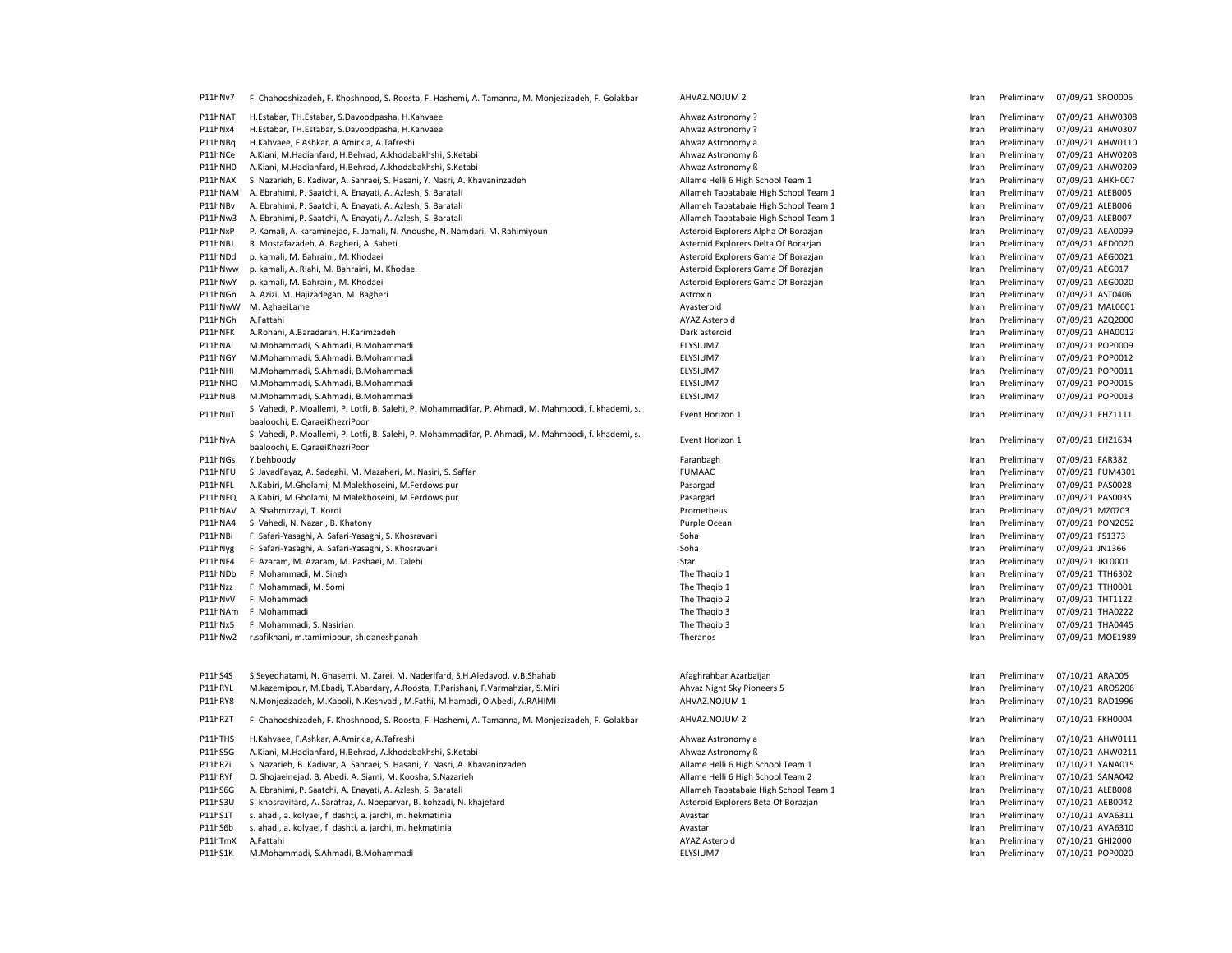| P11hNv7 | F. Chahooshizadeh, F. Khoshnood, S. Roosta, F. Hashemi, A. Tamanna, M. Monjezizadeh, F. Golakbar                                       | AHVAZ.NOJUM 2                         | Iran         | Preliminary | 07/09/21 SRO0005 |
|---------|----------------------------------------------------------------------------------------------------------------------------------------|---------------------------------------|--------------|-------------|------------------|
| P11hNAT | H.Estabar, TH.Estabar, S.Davoodpasha, H.Kahvaee                                                                                        | Ahwaz Astronomy?                      | Iran         | Preliminary | 07/09/21 AHW0308 |
| P11hNx4 | H.Estabar, TH.Estabar, S.Davoodpasha, H.Kahvaee                                                                                        | Ahwaz Astronomy?                      | Iran         | Preliminary | 07/09/21 AHW0307 |
| P11hNBq | H.Kahvaee, F.Ashkar, A.Amirkia, A.Tafreshi                                                                                             | Ahwaz Astronomy a                     | Iran         | Preliminary | 07/09/21 AHW0110 |
| P11hNCe | A.Kiani, M.Hadianfard, H.Behrad, A.khodabakhshi, S.Ketabi                                                                              | Ahwaz Astronomy ß                     | Iran         | Preliminary | 07/09/21 AHW0208 |
| P11hNH0 | A.Kiani, M.Hadianfard, H.Behrad, A.khodabakhshi, S.Ketabi                                                                              | Ahwaz Astronomy ß                     | Iran         | Preliminary | 07/09/21 AHW0209 |
| P11hNAX | S. Nazarieh, B. Kadivar, A. Sahraei, S. Hasani, Y. Nasri, A. Khavaninzadeh                                                             | Allame Helli 6 High School Team 1     | Iran         | Preliminary | 07/09/21 AHKH007 |
| P11hNAM | A. Ebrahimi, P. Saatchi, A. Enayati, A. Azlesh, S. Baratali                                                                            | Allameh Tabatabaie High School Team 1 | Iran         | Preliminary | 07/09/21 ALEB005 |
| P11hNBv | A. Ebrahimi, P. Saatchi, A. Enayati, A. Azlesh, S. Baratali                                                                            | Allameh Tabatabaie High School Team 1 | Iran         | Preliminary | 07/09/21 ALEB006 |
| P11hNw3 | A. Ebrahimi, P. Saatchi, A. Enayati, A. Azlesh, S. Baratali                                                                            | Allameh Tabatabaie High School Team 1 | Iran         | Preliminary | 07/09/21 ALEB007 |
| P11hNxP | P. Kamali, A. karaminejad, F. Jamali, N. Anoushe, N. Namdari, M. Rahimiyoun                                                            | Asteroid Explorers Alpha Of Borazjan  | Iran         | Preliminary | 07/09/21 AEA0099 |
| P11hNBJ | R. Mostafazadeh, A. Bagheri, A. Sabeti                                                                                                 | Asteroid Explorers Delta Of Borazjan  | Iran         | Preliminary | 07/09/21 AED0020 |
| P11hNDd | p. kamali, M. Bahraini, M. Khodaei                                                                                                     | Asteroid Explorers Gama Of Borazjan   | Iran         | Preliminary | 07/09/21 AEG0021 |
| P11hNww | p. kamali, A. Riahi, M. Bahraini, M. Khodaei                                                                                           | Asteroid Explorers Gama Of Borazjan   | Iran         | Preliminary | 07/09/21 AEG017  |
| P11hNwY | p. kamali, M. Bahraini, M. Khodaei                                                                                                     | Asteroid Explorers Gama Of Borazjan   | Iran         | Preliminary | 07/09/21 AEG0020 |
| P11hNGn | A. Azizi, M. Hajizadegan, M. Bagheri                                                                                                   | Astroxin                              | Iran         | Preliminary | 07/09/21 AST0406 |
| P11hNwW | M. AghaeiLame                                                                                                                          | Ayasteroid                            | Iran         | Preliminary | 07/09/21 MAL0001 |
| P11hNGh | A.Fattahi                                                                                                                              | <b>AYAZ Asteroid</b>                  | Iran         | Preliminary | 07/09/21 AZQ2000 |
| P11hNFK | A.Rohani, A.Baradaran, H.Karimzadeh                                                                                                    | Dark asteroid                         | Iran         | Preliminary | 07/09/21 AHA0012 |
| P11hNAi | M.Mohammadi, S.Ahmadi, B.Mohammadi                                                                                                     | ELYSIUM7                              | Iran         | Preliminary | 07/09/21 POP0009 |
| P11hNGY | M.Mohammadi, S.Ahmadi, B.Mohammadi                                                                                                     | ELYSIUM7                              | Iran         | Preliminary | 07/09/21 POP0012 |
| P11hNHI | M.Mohammadi, S.Ahmadi, B.Mohammadi                                                                                                     | ELYSIUM7                              | Iran         | Preliminary | 07/09/21 POP0011 |
| P11hNHO | M.Mohammadi, S.Ahmadi, B.Mohammadi                                                                                                     | ELYSIUM7                              | Iran         | Preliminary | 07/09/21 POP0015 |
| P11hNuB | M.Mohammadi, S.Ahmadi, B.Mohammadi                                                                                                     | ELYSIUM7                              | Iran         | Preliminary | 07/09/21 POP0013 |
| P11hNuT | S. Vahedi, P. Moallemi, P. Lotfi, B. Salehi, P. Mohammadifar, P. Ahmadi, M. Mahmoodi, f. khademi, s.                                   | Event Horizon 1                       | Iran         | Preliminary | 07/09/21 EHZ1111 |
|         | baaloochi, E. QaraeiKhezriPoor                                                                                                         |                                       |              |             |                  |
| P11hNyA | S. Vahedi, P. Moallemi, P. Lotfi, B. Salehi, P. Mohammadifar, P. Ahmadi, M. Mahmoodi, f. khademi, s.<br>baaloochi, E. QaraeiKhezriPoor | Event Horizon 1                       | Iran         | Preliminary | 07/09/21 EHZ1634 |
| P11hNGs | Y.behboody                                                                                                                             | Faranbagh                             |              | Preliminary | 07/09/21 FAR382  |
| P11hNFU | S. JavadFayaz, A. Sadeghi, M. Mazaheri, M. Nasiri, S. Saffar                                                                           | <b>FUMAAC</b>                         | Iran<br>Iran | Preliminary | 07/09/21 FUM4301 |
| P11hNFL | A.Kabiri, M.Gholami, M.Malekhoseini, M.Ferdowsipur                                                                                     | Pasargad                              | Iran         | Preliminary | 07/09/21 PAS0028 |
| P11hNFQ | A.Kabiri, M.Gholami, M.Malekhoseini, M.Ferdowsipur                                                                                     | Pasargad                              | Iran         | Preliminary | 07/09/21 PAS0035 |
| P11hNAV | A. Shahmirzayi, T. Kordi                                                                                                               | Prometheus                            | Iran         | Preliminary | 07/09/21 MZ0703  |
| P11hNA4 | S. Vahedi, N. Nazari, B. Khatony                                                                                                       | Purple Ocean                          | Iran         | Preliminary | 07/09/21 PON2052 |
| P11hNBi | F. Safari-Yasaghi, A. Safari-Yasaghi, S. Khosravani                                                                                    | Soha                                  | Iran         | Preliminary | 07/09/21 FS1373  |
| P11hNyg | F. Safari-Yasaghi, A. Safari-Yasaghi, S. Khosravani                                                                                    | Soha                                  | Iran         | Preliminary | 07/09/21 JN1366  |
| P11hNF4 | E. Azaram, M. Azaram, M. Pashaei, M. Talebi                                                                                            | Star                                  | Iran         | Preliminary | 07/09/21 JKL0001 |
| P11hNDb | F. Mohammadi, M. Singh                                                                                                                 | The Thaqib 1                          | Iran         | Preliminary | 07/09/21 TTH6302 |
| P11hNzz | F. Mohammadi, M. Somi                                                                                                                  | The Thaqib 1                          | Iran         | Preliminary | 07/09/21 TTH0001 |
| P11hNvV | F. Mohammadi                                                                                                                           | The Thaqib 2                          | Iran         | Preliminary | 07/09/21 THT1122 |
| P11hNAm | F. Mohammadi                                                                                                                           | The Thaqib 3                          | Iran         | Preliminary | 07/09/21 THA0222 |
| P11hNx5 | F. Mohammadi, S. Nasirian                                                                                                              | The Thaqib 3                          | Iran         | Preliminary | 07/09/21 THA0445 |
| P11hNw2 | r.safikhani, m.tamimipour, sh.daneshpanah                                                                                              | Theranos                              | Iran         | Preliminary | 07/09/21 MOE1989 |
|         |                                                                                                                                        |                                       |              |             |                  |
|         |                                                                                                                                        |                                       |              |             |                  |
| P11hS4S | S.Seyedhatami, N. Ghasemi, M. Zarei, M. Naderifard, S.H.Aledavod, V.B.Shahab                                                           | Afaghrahbar Azarbaijan                | Iran         | Preliminary | 07/10/21 ARA005  |
| P11hRYL | M.kazemipour, M.Ebadi, T.Abardary, A.Roosta, T.Parishani, F.Varmahziar, S.Miri                                                         | Ahvaz Night Sky Pioneers 5            | Iran         | Preliminary | 07/10/21 ARO5206 |
| P11hRY8 | N.Monjezizadeh, M.Kaboli, N.Keshvadi, M.Fathi, M.hamadi, O.Abedi, A.RAHIMI                                                             | AHVAZ.NOJUM 1                         | Iran         | Preliminary | 07/10/21 RAD1996 |
| P11hRZT | F. Chahooshizadeh, F. Khoshnood, S. Roosta, F. Hashemi, A. Tamanna, M. Monjezizadeh, F. Golakbar                                       | AHVAZ.NOJUM 2                         | Iran         | Preliminary | 07/10/21 FKH0004 |
|         |                                                                                                                                        |                                       |              |             |                  |
| P11hTHS | H.Kahvaee, F.Ashkar, A.Amirkia, A.Tafreshi                                                                                             | Ahwaz Astronomy a                     | Iran         | Preliminary | 07/10/21 AHW0111 |
| P11hS5G | A.Kiani, M.Hadianfard, H.Behrad, A.khodabakhshi, S.Ketabi                                                                              | Ahwaz Astronomy ß                     | Iran         | Preliminary | 07/10/21 AHW0211 |
| P11hRZi | S. Nazarieh, B. Kadivar, A. Sahraei, S. Hasani, Y. Nasri, A. Khavaninzadeh                                                             | Allame Helli 6 High School Team 1     | Iran         | Preliminary | 07/10/21 YANA015 |
| P11hRYf | D. Shojaeinejad, B. Abedi, A. Siami, M. Koosha, S.Nazarieh                                                                             | Allame Helli 6 High School Team 2     | Iran         | Preliminary | 07/10/21 SANA042 |
| P11hS6G | A. Ebrahimi, P. Saatchi, A. Enayati, A. Azlesh, S. Baratali                                                                            | Allameh Tabatabaie High School Team 1 | Iran         | Preliminary | 07/10/21 ALEB008 |
| P11hS3U | S. khosravifard, A. Sarafraz, A. Noeparvar, B. kohzadi, N. khajefard                                                                   | Asteroid Explorers Beta Of Borazjan   | Iran         | Preliminary | 07/10/21 AEB0042 |
| P11hS1T | s. ahadi, a. kolyaei, f. dashti, a. jarchi, m. hekmatinia                                                                              | Avastar                               | Iran         | Preliminary | 07/10/21 AVA6311 |
| P11hS6b | s. ahadi, a. kolyaei, f. dashti, a. jarchi, m. hekmatinia                                                                              | Avastar                               | Iran         | Preliminary | 07/10/21 AVA6310 |
| P11hTmX | A.Fattahi                                                                                                                              | <b>AYAZ Asteroid</b>                  | Iran         | Preliminary | 07/10/21 GHI2000 |
| P11hS1K | M.Mohammadi, S.Ahmadi, B.Mohammadi                                                                                                     | ELYSIUM7                              | Iran         | Preliminary | 07/10/21 POP0020 |